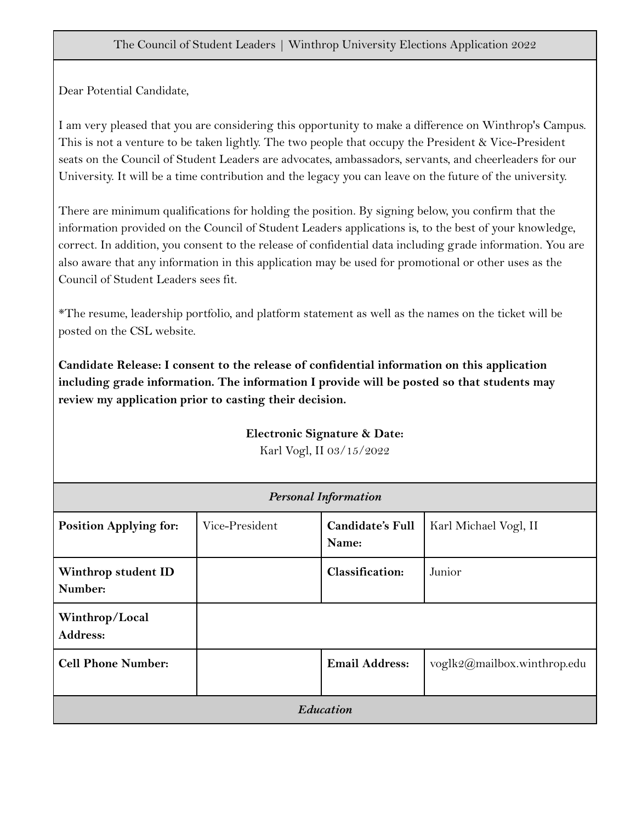#### The Council of Student Leaders | Winthrop University Elections Application 2022

Dear Potential Candidate,

I am very pleased that you are considering this opportunity to make a difference on Winthrop's Campus. This is not a venture to be taken lightly. The two people that occupy the President & Vice-President seats on the Council of Student Leaders are advocates, ambassadors, servants, and cheerleaders for our University. It will be a time contribution and the legacy you can leave on the future of the university.

There are minimum qualifications for holding the position. By signing below, you confirm that the information provided on the Council of Student Leaders applications is, to the best of your knowledge, correct. In addition, you consent to the release of confidential data including grade information. You are also aware that any information in this application may be used for promotional or other uses as the Council of Student Leaders sees fit.

\*The resume, leadership portfolio, and platform statement as well as the names on the ticket will be posted on the CSL website.

**Candidate Release: I consent to the release of confidential information on this application including grade information. The information I provide will be posted so that students may review my application prior to casting their decision.**

> **Electronic Signature & Date:** Karl Vogl, II 03/15/2022

| <b>Personal Information</b>       |                |                                  |                             |  |
|-----------------------------------|----------------|----------------------------------|-----------------------------|--|
| <b>Position Applying for:</b>     | Vice-President | <b>Candidate's Full</b><br>Name: | Karl Michael Vogl, II       |  |
| Winthrop student ID<br>Number:    |                | <b>Classification:</b>           | Junior                      |  |
| Winthrop/Local<br><b>Address:</b> |                |                                  |                             |  |
| <b>Cell Phone Number:</b>         |                | <b>Email Address:</b>            | voglk2@mailbox.winthrop.edu |  |
| Education                         |                |                                  |                             |  |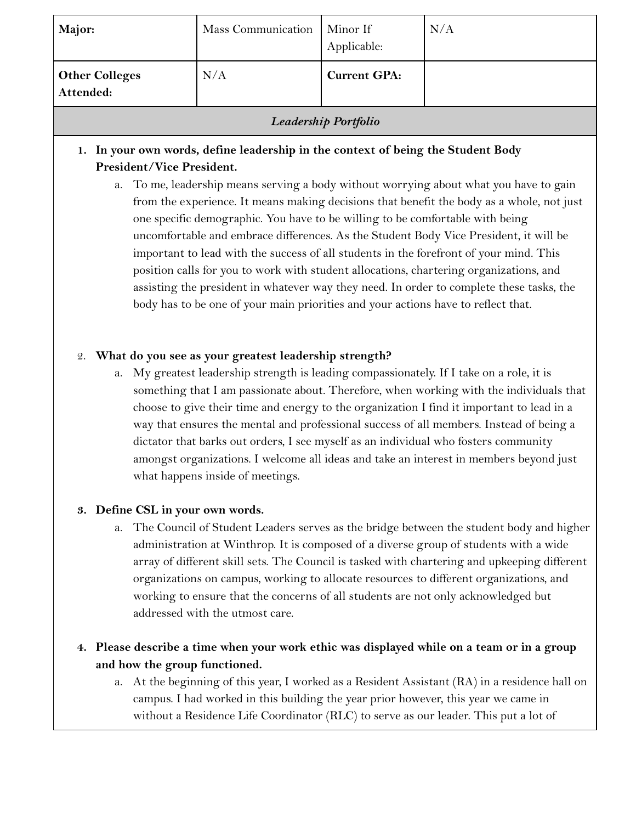| Major:                             | Mass Communication | Minor If<br>Applicable: | N/A |
|------------------------------------|--------------------|-------------------------|-----|
| <b>Other Colleges</b><br>Attended: | N/A                | <b>Current GPA:</b>     |     |

## *Leadership Portfolio*

## **1. In your own words, define leadership in the context of being the Student Body President/Vice President.**

a. To me, leadership means serving a body without worrying about what you have to gain from the experience. It means making decisions that benefit the body as a whole, not just one specific demographic. You have to be willing to be comfortable with being uncomfortable and embrace differences. As the Student Body Vice President, it will be important to lead with the success of all students in the forefront of your mind. This position calls for you to work with student allocations, chartering organizations, and assisting the president in whatever way they need. In order to complete these tasks, the body has to be one of your main priorities and your actions have to reflect that.

#### 2. **What do you see as your greatest leadership strength?**

a. My greatest leadership strength is leading compassionately. If I take on a role, it is something that I am passionate about. Therefore, when working with the individuals that choose to give their time and energy to the organization I find it important to lead in a way that ensures the mental and professional success of all members. Instead of being a dictator that barks out orders, I see myself as an individual who fosters community amongst organizations. I welcome all ideas and take an interest in members beyond just what happens inside of meetings.

#### **3. Define CSL in your own words.**

a. The Council of Student Leaders serves as the bridge between the student body and higher administration at Winthrop. It is composed of a diverse group of students with a wide array of different skill sets. The Council is tasked with chartering and upkeeping different organizations on campus, working to allocate resources to different organizations, and working to ensure that the concerns of all students are not only acknowledged but addressed with the utmost care.

## **4. Please describe a time when your work ethic was displayed while on a team or in a group and how the group functioned.**

a. At the beginning of this year, I worked as a Resident Assistant (RA) in a residence hall on campus. I had worked in this building the year prior however, this year we came in without a Residence Life Coordinator (RLC) to serve as our leader. This put a lot of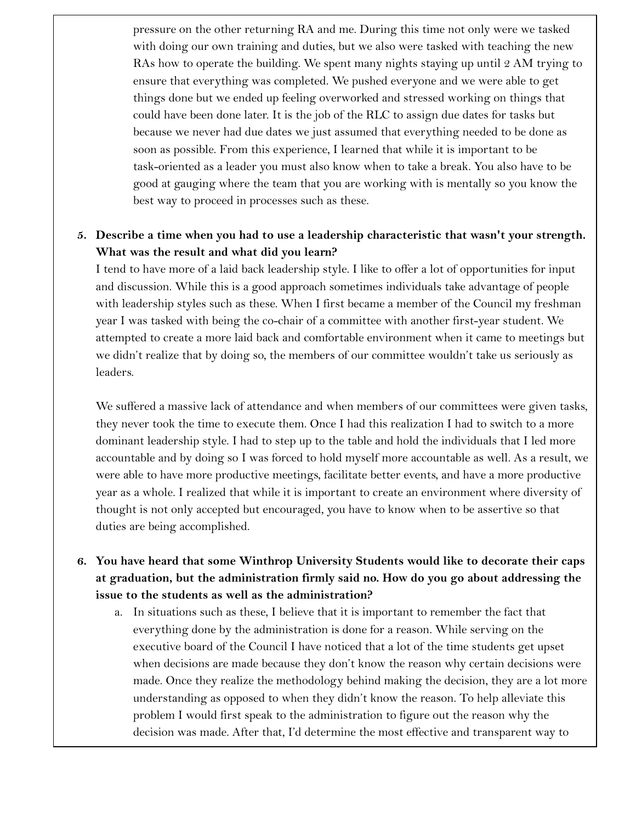pressure on the other returning RA and me. During this time not only were we tasked with doing our own training and duties, but we also were tasked with teaching the new RAs how to operate the building. We spent many nights staying up until 2 AM trying to ensure that everything was completed. We pushed everyone and we were able to get things done but we ended up feeling overworked and stressed working on things that could have been done later. It is the job of the RLC to assign due dates for tasks but because we never had due dates we just assumed that everything needed to be done as soon as possible. From this experience, I learned that while it is important to be task-oriented as a leader you must also know when to take a break. You also have to be good at gauging where the team that you are working with is mentally so you know the best way to proceed in processes such as these.

#### **5. Describe a time when you had to use a leadership characteristic that wasn't your strength. What was the result and what did you learn?**

I tend to have more of a laid back leadership style. I like to offer a lot of opportunities for input and discussion. While this is a good approach sometimes individuals take advantage of people with leadership styles such as these. When I first became a member of the Council my freshman year I was tasked with being the co-chair of a committee with another first-year student. We attempted to create a more laid back and comfortable environment when it came to meetings but we didn't realize that by doing so, the members of our committee wouldn't take us seriously as leaders.

We suffered a massive lack of attendance and when members of our committees were given tasks, they never took the time to execute them. Once I had this realization I had to switch to a more dominant leadership style. I had to step up to the table and hold the individuals that I led more accountable and by doing so I was forced to hold myself more accountable as well. As a result, we were able to have more productive meetings, facilitate better events, and have a more productive year as a whole. I realized that while it is important to create an environment where diversity of thought is not only accepted but encouraged, you have to know when to be assertive so that duties are being accomplished.

- **6. You have heard that some Winthrop University Students would like to decorate their caps at graduation, but the administration firmly said no. How do you go about addressing the issue to the students as well as the administration?**
	- a. In situations such as these, I believe that it is important to remember the fact that everything done by the administration is done for a reason. While serving on the executive board of the Council I have noticed that a lot of the time students get upset when decisions are made because they don't know the reason why certain decisions were made. Once they realize the methodology behind making the decision, they are a lot more understanding as opposed to when they didn't know the reason. To help alleviate this problem I would first speak to the administration to figure out the reason why the decision was made. After that, I'd determine the most effective and transparent way to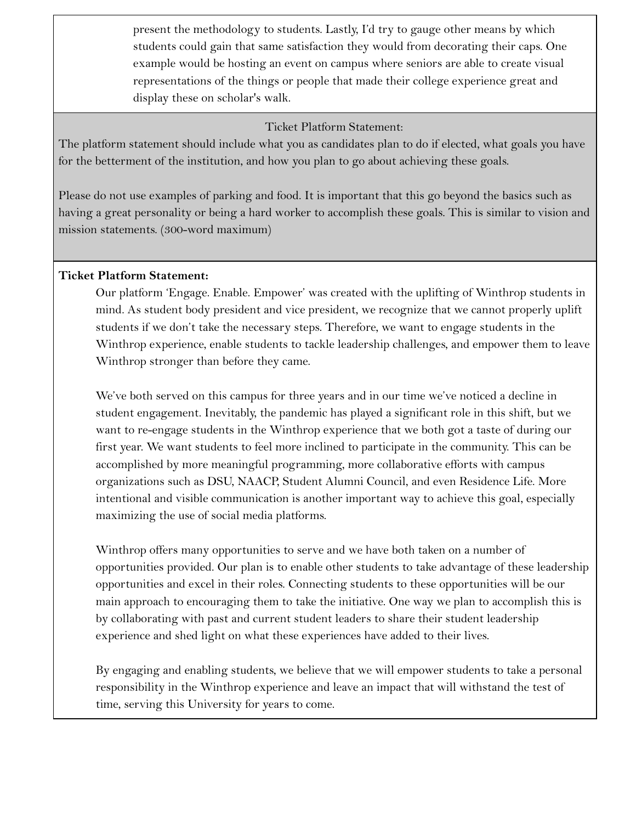present the methodology to students. Lastly, I'd try to gauge other means by which students could gain that same satisfaction they would from decorating their caps. One example would be hosting an event on campus where seniors are able to create visual representations of the things or people that made their college experience great and display these on scholar's walk.

Ticket Platform Statement:

The platform statement should include what you as candidates plan to do if elected, what goals you have for the betterment of the institution, and how you plan to go about achieving these goals.

Please do not use examples of parking and food. It is important that this go beyond the basics such as having a great personality or being a hard worker to accomplish these goals. This is similar to vision and mission statements. (300-word maximum)

#### **Ticket Platform Statement:**

Our platform 'Engage. Enable. Empower' was created with the uplifting of Winthrop students in mind. As student body president and vice president, we recognize that we cannot properly uplift students if we don't take the necessary steps. Therefore, we want to engage students in the Winthrop experience, enable students to tackle leadership challenges, and empower them to leave Winthrop stronger than before they came.

We've both served on this campus for three years and in our time we've noticed a decline in student engagement. Inevitably, the pandemic has played a significant role in this shift, but we want to re-engage students in the Winthrop experience that we both got a taste of during our first year. We want students to feel more inclined to participate in the community. This can be accomplished by more meaningful programming, more collaborative efforts with campus organizations such as DSU, NAACP, Student Alumni Council, and even Residence Life. More intentional and visible communication is another important way to achieve this goal, especially maximizing the use of social media platforms.

Winthrop offers many opportunities to serve and we have both taken on a number of opportunities provided. Our plan is to enable other students to take advantage of these leadership opportunities and excel in their roles. Connecting students to these opportunities will be our main approach to encouraging them to take the initiative. One way we plan to accomplish this is by collaborating with past and current student leaders to share their student leadership experience and shed light on what these experiences have added to their lives.

By engaging and enabling students, we believe that we will empower students to take a personal responsibility in the Winthrop experience and leave an impact that will withstand the test of time, serving this University for years to come.